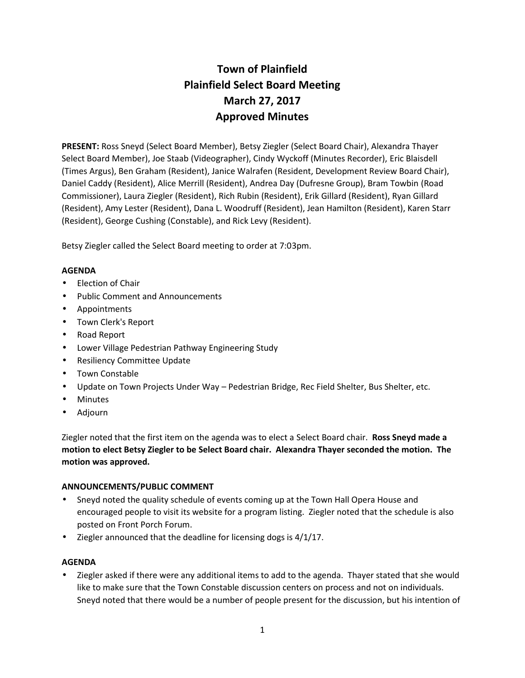# **Town of Plainfield Plainfield Select Board Meeting March 27, 2017 Approved Minutes**

**PRESENT:** Ross Sneyd (Select Board Member), Betsy Ziegler (Select Board Chair), Alexandra Thayer Select Board Member), Joe Staab (Videographer), Cindy Wyckoff (Minutes Recorder), Eric Blaisdell (Times Argus), Ben Graham (Resident), Janice Walrafen (Resident, Development Review Board Chair), Daniel Caddy (Resident), Alice Merrill (Resident), Andrea Day (Dufresne Group), Bram Towbin (Road Commissioner), Laura Ziegler (Resident), Rich Rubin (Resident), Erik Gillard (Resident), Ryan Gillard (Resident), Amy Lester (Resident), Dana L. Woodruff (Resident), Jean Hamilton (Resident), Karen Starr (Resident), George Cushing (Constable), and Rick Levy (Resident).

Betsy Ziegler called the Select Board meeting to order at 7:03pm.

#### **AGENDA**

- Election of Chair
- Public Comment and Announcements
- Appointments
- Town Clerk's Report
- Road Report
- Lower Village Pedestrian Pathway Engineering Study
- Resiliency Committee Update
- Town Constable
- Update on Town Projects Under Way Pedestrian Bridge, Rec Field Shelter, Bus Shelter, etc.
- Minutes
- Adjourn

Ziegler noted that the first item on the agenda was to elect a Select Board chair. **Ross Sneyd made a motion to elect Betsy Ziegler to be Select Board chair. Alexandra Thayer seconded the motion. The motion was approved.**

#### **ANNOUNCEMENTS/PUBLIC COMMENT**

- Sneyd noted the quality schedule of events coming up at the Town Hall Opera House and encouraged people to visit its website for a program listing. Ziegler noted that the schedule is also posted on Front Porch Forum.
- $\bullet$  Ziegler announced that the deadline for licensing dogs is 4/1/17.

#### **AGENDA**

 Ziegler asked if there were any additional items to add to the agenda. Thayer stated that she would like to make sure that the Town Constable discussion centers on process and not on individuals. Sneyd noted that there would be a number of people present for the discussion, but his intention of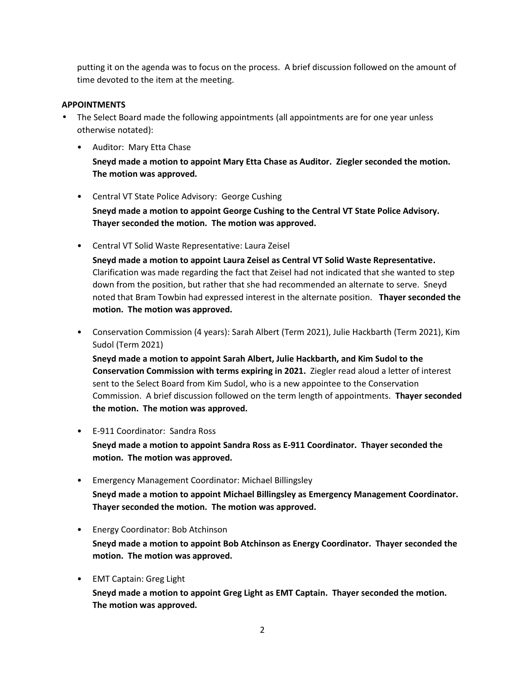putting it on the agenda was to focus on the process. A brief discussion followed on the amount of time devoted to the item at the meeting.

#### **APPOINTMENTS**

- The Select Board made the following appointments (all appointments are for one year unless otherwise notated):
	- Auditor: Mary Etta Chase

**Sneyd made a motion to appoint Mary Etta Chase as Auditor. Ziegler seconded the motion. The motion was approved.**

• Central VT State Police Advisory: George Cushing

**Sneyd made a motion to appoint George Cushing to the Central VT State Police Advisory. Thayer seconded the motion. The motion was approved.**

• Central VT Solid Waste Representative: Laura Zeisel

**Sneyd made a motion to appoint Laura Zeisel as Central VT Solid Waste Representative.** Clarification was made regarding the fact that Zeisel had not indicated that she wanted to step down from the position, but rather that she had recommended an alternate to serve. Sneyd noted that Bram Towbin had expressed interest in the alternate position. **Thayer seconded the motion. The motion was approved.**

• Conservation Commission (4 years): Sarah Albert (Term 2021), Julie Hackbarth (Term 2021), Kim Sudol (Term 2021)

**Sneyd made a motion to appoint Sarah Albert, Julie Hackbarth, and Kim Sudol to the Conservation Commission with terms expiring in 2021.** Ziegler read aloud a letter of interest sent to the Select Board from Kim Sudol, who is a new appointee to the Conservation Commission. A brief discussion followed on the term length of appointments. **Thayer seconded the motion. The motion was approved.**

• E-911 Coordinator: Sandra Ross

**Sneyd made a motion to appoint Sandra Ross as E-911 Coordinator. Thayer seconded the motion. The motion was approved.**

- Emergency Management Coordinator: Michael Billingsley **Sneyd made a motion to appoint Michael Billingsley as Emergency Management Coordinator. Thayer seconded the motion. The motion was approved.**
- Energy Coordinator: Bob Atchinson

**Sneyd made a motion to appoint Bob Atchinson as Energy Coordinator. Thayer seconded the motion. The motion was approved.**

• EMT Captain: Greg Light

**Sneyd made a motion to appoint Greg Light as EMT Captain. Thayer seconded the motion. The motion was approved.**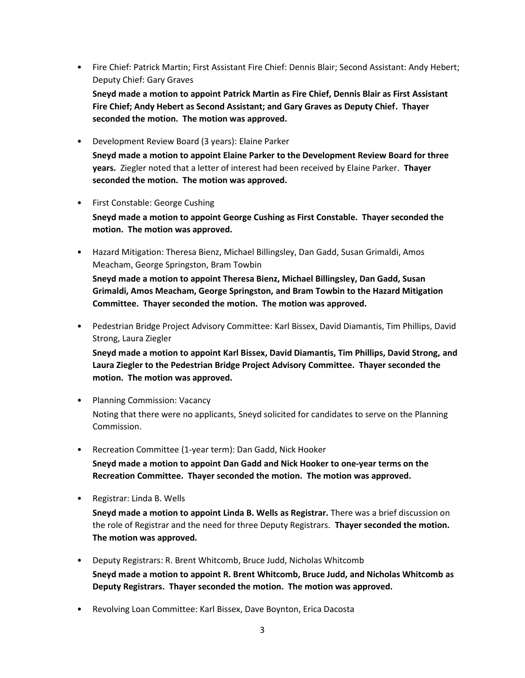• Fire Chief: Patrick Martin; First Assistant Fire Chief: Dennis Blair; Second Assistant: Andy Hebert; Deputy Chief: Gary Graves

**Sneyd made a motion to appoint Patrick Martin as Fire Chief, Dennis Blair as First Assistant Fire Chief; Andy Hebert as Second Assistant; and Gary Graves as Deputy Chief. Thayer seconded the motion. The motion was approved.**

• Development Review Board (3 years): Elaine Parker

**Sneyd made a motion to appoint Elaine Parker to the Development Review Board for three years.** Ziegler noted that a letter of interest had been received by Elaine Parker. **Thayer seconded the motion. The motion was approved.**

#### • First Constable: George Cushing

**Sneyd made a motion to appoint George Cushing as First Constable. Thayer seconded the motion. The motion was approved.**

• Hazard Mitigation: Theresa Bienz, Michael Billingsley, Dan Gadd, Susan Grimaldi, Amos Meacham, George Springston, Bram Towbin

**Sneyd made a motion to appoint Theresa Bienz, Michael Billingsley, Dan Gadd, Susan Grimaldi, Amos Meacham, George Springston, and Bram Towbin to the Hazard Mitigation Committee. Thayer seconded the motion. The motion was approved.**

• Pedestrian Bridge Project Advisory Committee: Karl Bissex, David Diamantis, Tim Phillips, David Strong, Laura Ziegler

**Sneyd made a motion to appoint Karl Bissex, David Diamantis, Tim Phillips, David Strong, and Laura Ziegler to the Pedestrian Bridge Project Advisory Committee. Thayer seconded the motion. The motion was approved.**

- Planning Commission: Vacancy Noting that there were no applicants, Sneyd solicited for candidates to serve on the Planning Commission.
- Recreation Committee (1-year term): Dan Gadd, Nick Hooker **Sneyd made a motion to appoint Dan Gadd and Nick Hooker to one-year terms on the Recreation Committee. Thayer seconded the motion. The motion was approved.**
- Registrar: Linda B. Wells

**Sneyd made a motion to appoint Linda B. Wells as Registrar.** There was a brief discussion on the role of Registrar and the need for three Deputy Registrars. **Thayer seconded the motion. The motion was approved.**

- Deputy Registrars: R. Brent Whitcomb, Bruce Judd, Nicholas Whitcomb **Sneyd made a motion to appoint R. Brent Whitcomb, Bruce Judd, and Nicholas Whitcomb as Deputy Registrars. Thayer seconded the motion. The motion was approved.**
- Revolving Loan Committee: Karl Bissex, Dave Boynton, Erica Dacosta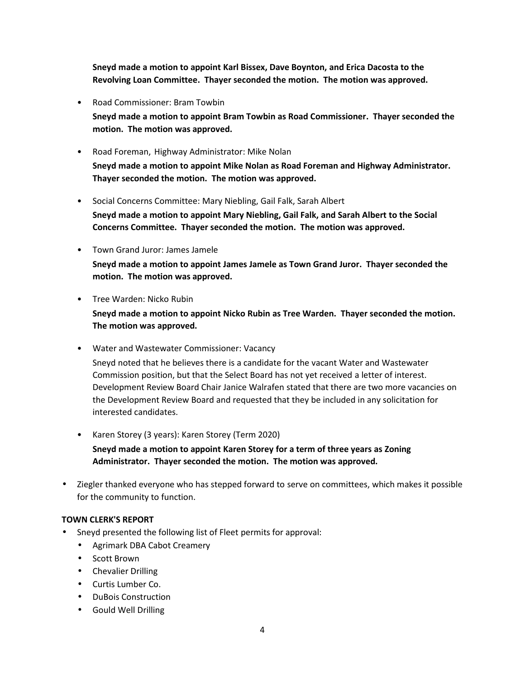**Sneyd made a motion to appoint Karl Bissex, Dave Boynton, and Erica Dacosta to the Revolving Loan Committee. Thayer seconded the motion. The motion was approved.**

• Road Commissioner: Bram Towbin

**Sneyd made a motion to appoint Bram Towbin as Road Commissioner. Thayer seconded the motion. The motion was approved.**

- Road Foreman, Highway Administrator: Mike Nolan **Sneyd made a motion to appoint Mike Nolan as Road Foreman and Highway Administrator. Thayer seconded the motion. The motion was approved.**
- Social Concerns Committee: Mary Niebling, Gail Falk, Sarah Albert

**Sneyd made a motion to appoint Mary Niebling, Gail Falk, and Sarah Albert to the Social Concerns Committee. Thayer seconded the motion. The motion was approved.**

- Town Grand Juror: James Jamele **Sneyd made a motion to appoint James Jamele as Town Grand Juror. Thayer seconded the motion. The motion was approved.**
- Tree Warden: Nicko Rubin

**Sneyd made a motion to appoint Nicko Rubin as Tree Warden. Thayer seconded the motion. The motion was approved.**

- Water and Wastewater Commissioner: Vacancy Sneyd noted that he believes there is a candidate for the vacant Water and Wastewater Commission position, but that the Select Board has not yet received a letter of interest. Development Review Board Chair Janice Walrafen stated that there are two more vacancies on the Development Review Board and requested that they be included in any solicitation for interested candidates.
- Karen Storey (3 years): Karen Storey (Term 2020) **Sneyd made a motion to appoint Karen Storey for a term of three years as Zoning Administrator. Thayer seconded the motion. The motion was approved.**
- Ziegler thanked everyone who has stepped forward to serve on committees, which makes it possible for the community to function.

## **TOWN CLERK'S REPORT**

- Sneyd presented the following list of Fleet permits for approval:
	- Agrimark DBA Cabot Creamery
	- Scott Brown
	- Chevalier Drilling
	- Curtis Lumber Co.
	- DuBois Construction
	- Gould Well Drilling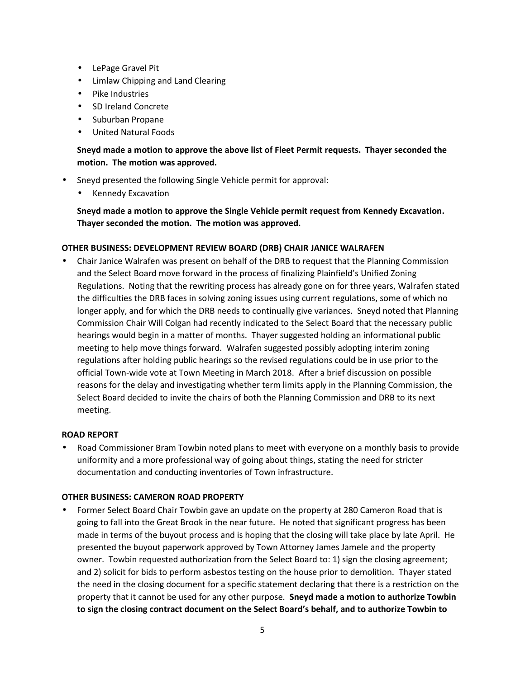- LePage Gravel Pit
- Limlaw Chipping and Land Clearing
- Pike Industries
- SD Ireland Concrete
- Suburban Propane
- United Natural Foods

## **Sneyd made a motion to approve the above list of Fleet Permit requests. Thayer seconded the motion. The motion was approved.**

- Sneyd presented the following Single Vehicle permit for approval:
	- Kennedy Excavation

**Sneyd made a motion to approve the Single Vehicle permit request from Kennedy Excavation. Thayer seconded the motion. The motion was approved.**

#### **OTHER BUSINESS: DEVELOPMENT REVIEW BOARD (DRB) CHAIR JANICE WALRAFEN**

 Chair Janice Walrafen was present on behalf of the DRB to request that the Planning Commission and the Select Board move forward in the process of finalizing Plainfield's Unified Zoning Regulations. Noting that the rewriting process has already gone on for three years, Walrafen stated the difficulties the DRB faces in solving zoning issues using current regulations, some of which no longer apply, and for which the DRB needs to continually give variances. Sneyd noted that Planning Commission Chair Will Colgan had recently indicated to the Select Board that the necessary public hearings would begin in a matter of months. Thayer suggested holding an informational public meeting to help move things forward. Walrafen suggested possibly adopting interim zoning regulations after holding public hearings so the revised regulations could be in use prior to the official Town-wide vote at Town Meeting in March 2018. After a brief discussion on possible reasons for the delay and investigating whether term limits apply in the Planning Commission, the Select Board decided to invite the chairs of both the Planning Commission and DRB to its next meeting.

#### **ROAD REPORT**

 Road Commissioner Bram Towbin noted plans to meet with everyone on a monthly basis to provide uniformity and a more professional way of going about things, stating the need for stricter documentation and conducting inventories of Town infrastructure.

#### **OTHER BUSINESS: CAMERON ROAD PROPERTY**

• Former Select Board Chair Towbin gave an update on the property at 280 Cameron Road that is going to fall into the Great Brook in the near future. He noted that significant progress has been made in terms of the buyout process and is hoping that the closing will take place by late April. He presented the buyout paperwork approved by Town Attorney James Jamele and the property owner. Towbin requested authorization from the Select Board to: 1) sign the closing agreement; and 2) solicit for bids to perform asbestos testing on the house prior to demolition. Thayer stated the need in the closing document for a specific statement declaring that there is a restriction on the property that it cannot be used for any other purpose. **Sneyd made a motion to authorize Towbin to sign the closing contract document on the Select Board's behalf, and to authorize Towbin to**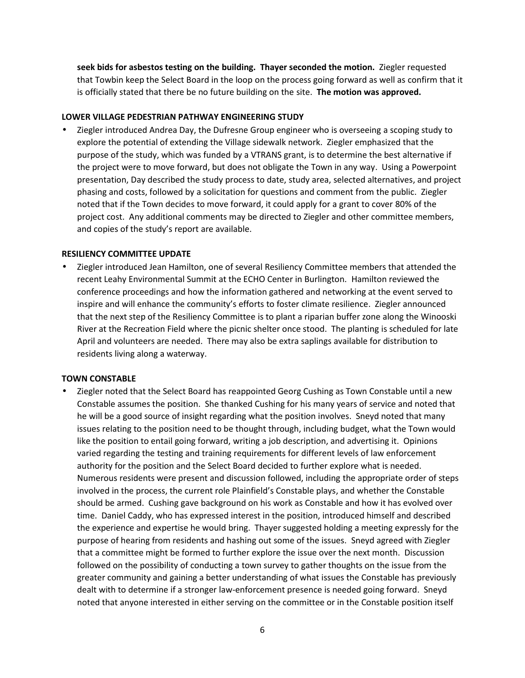**seek bids for asbestos testing on the building. Thayer seconded the motion.** Ziegler requested that Towbin keep the Select Board in the loop on the process going forward as well as confirm that it is officially stated that there be no future building on the site. **The motion was approved.**

#### **LOWER VILLAGE PEDESTRIAN PATHWAY ENGINEERING STUDY**

 Ziegler introduced Andrea Day, the Dufresne Group engineer who is overseeing a scoping study to explore the potential of extending the Village sidewalk network. Ziegler emphasized that the purpose of the study, which was funded by a VTRANS grant, is to determine the best alternative if the project were to move forward, but does not obligate the Town in any way. Using a Powerpoint presentation, Day described the study process to date, study area, selected alternatives, and project phasing and costs, followed by a solicitation for questions and comment from the public. Ziegler noted that if the Town decides to move forward, it could apply for a grant to cover 80% of the project cost. Any additional comments may be directed to Ziegler and other committee members, and copies of the study's report are available.

#### **RESILIENCY COMMITTEE UPDATE**

 Ziegler introduced Jean Hamilton, one of several Resiliency Committee members that attended the recent Leahy Environmental Summit at the ECHO Center in Burlington. Hamilton reviewed the conference proceedings and how the information gathered and networking at the event served to inspire and will enhance the community's efforts to foster climate resilience. Ziegler announced that the next step of the Resiliency Committee is to plant a riparian buffer zone along the Winooski River at the Recreation Field where the picnic shelter once stood. The planting is scheduled for late April and volunteers are needed. There may also be extra saplings available for distribution to residents living along a waterway.

#### **TOWN CONSTABLE**

 Ziegler noted that the Select Board has reappointed Georg Cushing as Town Constable until a new Constable assumes the position. She thanked Cushing for his many years of service and noted that he will be a good source of insight regarding what the position involves. Sneyd noted that many issues relating to the position need to be thought through, including budget, what the Town would like the position to entail going forward, writing a job description, and advertising it. Opinions varied regarding the testing and training requirements for different levels of law enforcement authority for the position and the Select Board decided to further explore what is needed. Numerous residents were present and discussion followed, including the appropriate order of steps involved in the process, the current role Plainfield's Constable plays, and whether the Constable should be armed. Cushing gave background on his work as Constable and how it has evolved over time. Daniel Caddy, who has expressed interest in the position, introduced himself and described the experience and expertise he would bring. Thayer suggested holding a meeting expressly for the purpose of hearing from residents and hashing out some of the issues. Sneyd agreed with Ziegler that a committee might be formed to further explore the issue over the next month. Discussion followed on the possibility of conducting a town survey to gather thoughts on the issue from the greater community and gaining a better understanding of what issues the Constable has previously dealt with to determine if a stronger law-enforcement presence is needed going forward. Sneyd noted that anyone interested in either serving on the committee or in the Constable position itself